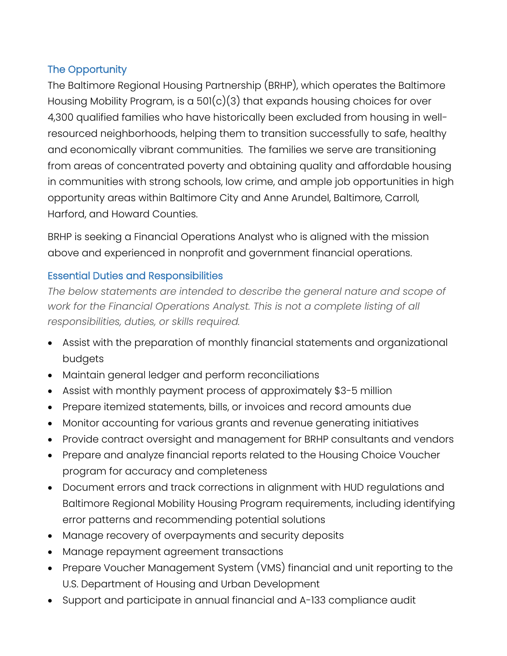# The Opportunity

The Baltimore Regional Housing Partnership (BRHP), which operates the Baltimore Housing Mobility Program, is a 501(c)(3) that expands housing choices for over 4,300 qualified families who have historically been excluded from housing in wellresourced neighborhoods, helping them to transition successfully to safe, healthy and economically vibrant communities. The families we serve are transitioning from areas of concentrated poverty and obtaining quality and affordable housing in communities with strong schools, low crime, and ample job opportunities in high opportunity areas within Baltimore City and Anne Arundel, Baltimore, Carroll, Harford, and Howard Counties.

BRHP is seeking a Financial Operations Analyst who is aligned with the mission above and experienced in nonprofit and government financial operations.

### Essential Duties and Responsibilities

*The below statements are intended to describe the general nature and scope of work for the Financial Operations Analyst. This is not a complete listing of all responsibilities, duties, or skills required.*

- Assist with the preparation of monthly financial statements and organizational budgets
- Maintain general ledger and perform reconciliations
- Assist with monthly payment process of approximately \$3-5 million
- Prepare itemized statements, bills, or invoices and record amounts due
- Monitor accounting for various grants and revenue generating initiatives
- Provide contract oversight and management for BRHP consultants and vendors
- Prepare and analyze financial reports related to the Housing Choice Voucher program for accuracy and completeness
- Document errors and track corrections in alignment with HUD regulations and Baltimore Regional Mobility Housing Program requirements, including identifying error patterns and recommending potential solutions
- Manage recovery of overpayments and security deposits
- Manage repayment agreement transactions
- Prepare Voucher Management System (VMS) financial and unit reporting to the U.S. Department of Housing and Urban Development
- Support and participate in annual financial and A-133 compliance audit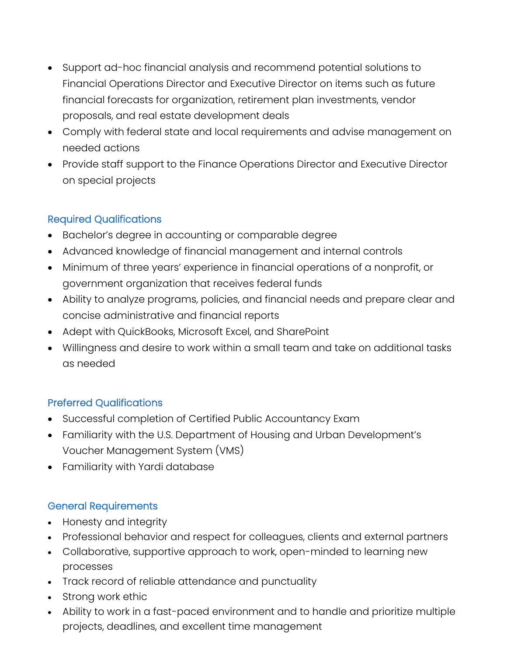- Support ad-hoc financial analysis and recommend potential solutions to Financial Operations Director and Executive Director on items such as future financial forecasts for organization, retirement plan investments, vendor proposals, and real estate development deals
- Comply with federal state and local requirements and advise management on needed actions
- Provide staff support to the Finance Operations Director and Executive Director on special projects

# Required Qualifications

- Bachelor's degree in accounting or comparable degree
- Advanced knowledge of financial management and internal controls
- Minimum of three years' experience in financial operations of a nonprofit, or government organization that receives federal funds
- Ability to analyze programs, policies, and financial needs and prepare clear and concise administrative and financial reports
- Adept with QuickBooks, Microsoft Excel, and SharePoint
- Willingness and desire to work within a small team and take on additional tasks as needed

# Preferred Qualifications

- Successful completion of Certified Public Accountancy Exam
- Familiarity with the U.S. Department of Housing and Urban Development's Voucher Management System (VMS)
- Familiarity with Yardi database

### General Requirements

- Honesty and integrity
- Professional behavior and respect for colleagues, clients and external partners
- Collaborative, supportive approach to work, open-minded to learning new processes
- Track record of reliable attendance and punctuality
- Strong work ethic
- Ability to work in a fast-paced environment and to handle and prioritize multiple projects, deadlines, and excellent time management